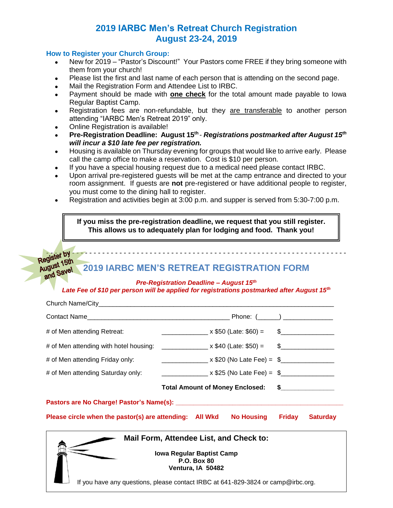## **2019 IARBC Men's Retreat Church Registration August 23-24, 2019**

### **How to Register your Church Group:**

- New for 2019 "Pastor's Discount!" Your Pastors come FREE if they bring someone with them from your church!
- Please list the first and last name of each person that is attending on the second page.
- Mail the Registration Form and Attendee List to IRBC.
- Payment should be made with **one check** for the total amount made payable to Iowa Regular Baptist Camp.
- Registration fees are non-refundable, but they are transferable to another person attending "IARBC Men's Retreat 2019" only.
- Online Registration is available!

and Save!

- **•** Pre-Registration Deadline: August 15<sup>th</sup> Registrations postmarked after August 15<sup>th</sup> *will incur a \$10 late fee per registration.*
- Housing is available on Thursday evening for groups that would like to arrive early. Please call the camp office to make a reservation. Cost is \$10 per person.
- If you have a special housing request due to a medical need please contact IRBC.
- Upon arrival pre-registered guests will be met at the camp entrance and directed to your room assignment. If guests are **not** pre-registered or have additional people to register, you must come to the dining hall to register.
- Registration and activities begin at 3:00 p.m. and supper is served from 5:30-7:00 p.m.

**If you miss the pre-registration deadline, we request that you still register. This allows us to adequately plan for lodging and food. Thank you!**

# **2019 IARBC MEN'S RETREAT REGISTRATION FORM**

### *Pre-Registration Deadline – August 15th*

- - - - - - - - - - - - - - - - - - - - - - - - - - - - - - - - - - - - - - - - - - - - - - - - - - - - - - - - - - - - - - - - - - - - - -

### *Late Fee of \$10 per person will be applied for registrations postmarked after August 15th*

| # of Men attending Retreat:                                                                                            | $\frac{1}{2}$ x \$50 (Late: \$60) = \$                                                                                                                                                     |  |                 |  |  |  |  |
|------------------------------------------------------------------------------------------------------------------------|--------------------------------------------------------------------------------------------------------------------------------------------------------------------------------------------|--|-----------------|--|--|--|--|
|                                                                                                                        | # of Men attending with hotel housing: ________________ x \$40 (Late: \$50) = \$______________________                                                                                     |  |                 |  |  |  |  |
| # of Men attending Friday only:                                                                                        | $\frac{1}{2}$ x \$20 (No Late Fee) = \$                                                                                                                                                    |  |                 |  |  |  |  |
| # of Men attending Saturday only:                                                                                      | __________________ x \$25 (No Late Fee) = \$_________________                                                                                                                              |  |                 |  |  |  |  |
|                                                                                                                        | Total Amount of Money Enclosed: \$                                                                                                                                                         |  |                 |  |  |  |  |
|                                                                                                                        |                                                                                                                                                                                            |  |                 |  |  |  |  |
|                                                                                                                        | Please circle when the pastor(s) are attending: All Wkd No Housing Friday                                                                                                                  |  | <b>Saturday</b> |  |  |  |  |
| Mail Form, Attendee List, and Check to:<br><b>Iowa Regular Baptist Camp</b><br><b>P.O. Box 80</b><br>Ventura, IA 50482 |                                                                                                                                                                                            |  |                 |  |  |  |  |
|                                                                                                                        | $\mathbf{R}$ and $\mathbf{R}$ are the set of the set of the set of the set of $\mathbf{R}$ and $\mathbf{R}$ and $\mathbf{R}$ and $\mathbf{R}$ and $\mathbf{R}$ are the set of $\mathbf{R}$ |  |                 |  |  |  |  |

If you have any questions, please contact IRBC at 641-829-3824 or camp@irbc.org.